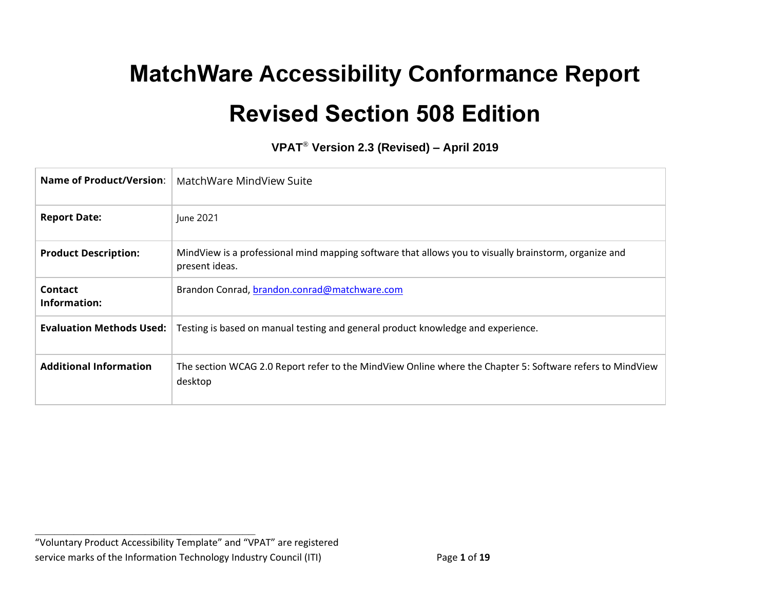# **MatchWare Accessibility Conformance Report Revised Section 508 Edition**

**VPAT**® **Version 2.3 (Revised) – April 2019**

| Name of Product/Version:        | MatchWare MindView Suite                                                                                                |
|---------------------------------|-------------------------------------------------------------------------------------------------------------------------|
| <b>Report Date:</b>             | June 2021                                                                                                               |
| <b>Product Description:</b>     | MindView is a professional mind mapping software that allows you to visually brainstorm, organize and<br>present ideas. |
| Contact<br>Information:         | Brandon Conrad, brandon.conrad@matchware.com                                                                            |
| <b>Evaluation Methods Used:</b> | Testing is based on manual testing and general product knowledge and experience.                                        |
| <b>Additional Information</b>   | The section WCAG 2.0 Report refer to the MindView Online where the Chapter 5: Software refers to MindView<br>desktop    |

**\_\_\_\_\_\_\_\_\_\_\_\_\_\_\_\_\_\_\_\_\_\_\_\_\_\_\_\_\_\_\_\_\_\_**

<sup>&</sup>quot;Voluntary Product Accessibility Template" and "VPAT" are registered service marks of the Information Technology Industry Council (ITI) Page **1** of **19**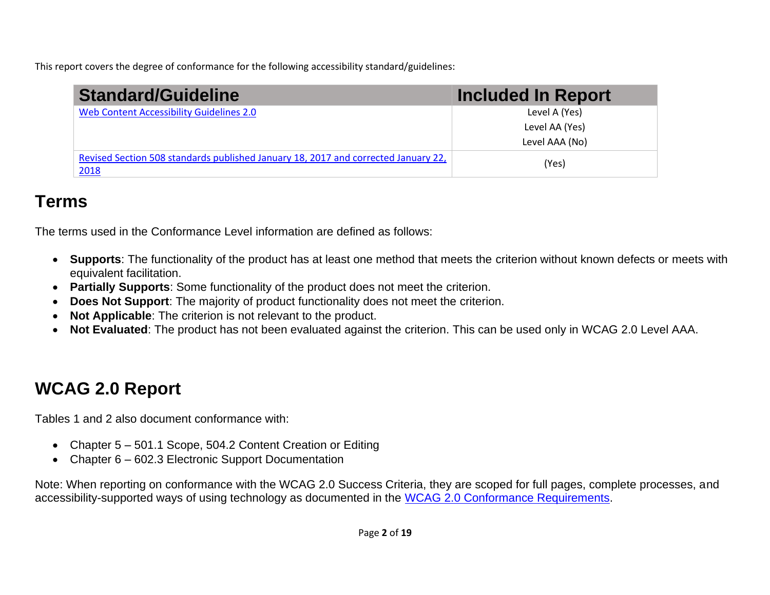This report covers the degree of conformance for the following accessibility standard/guidelines:

| <b>Standard/Guideline</b>                                                                  | <b>Included In Report</b> |
|--------------------------------------------------------------------------------------------|---------------------------|
| Web Content Accessibility Guidelines 2.0                                                   | Level A (Yes)             |
|                                                                                            | Level AA (Yes)            |
|                                                                                            | Level AAA (No)            |
| Revised Section 508 standards published January 18, 2017 and corrected January 22,<br>2018 | (Yes)                     |

## **Terms**

The terms used in the Conformance Level information are defined as follows:

- **Supports**: The functionality of the product has at least one method that meets the criterion without known defects or meets with equivalent facilitation.
- **Partially Supports**: Some functionality of the product does not meet the criterion.
- **Does Not Support**: The majority of product functionality does not meet the criterion.
- **Not Applicable**: The criterion is not relevant to the product.
- **Not Evaluated**: The product has not been evaluated against the criterion. This can be used only in WCAG 2.0 Level AAA.

# **WCAG 2.0 Report**

Tables 1 and 2 also document conformance with:

- Chapter 5 501.1 Scope, 504.2 Content Creation or Editing
- Chapter 6 602.3 Electronic Support Documentation

Note: When reporting on conformance with the WCAG 2.0 Success Criteria, they are scoped for full pages, complete processes, and accessibility-supported ways of using technology as documented in the [WCAG 2.0 Conformance Requirements.](https://www.w3.org/TR/WCAG20/#conformance-reqs)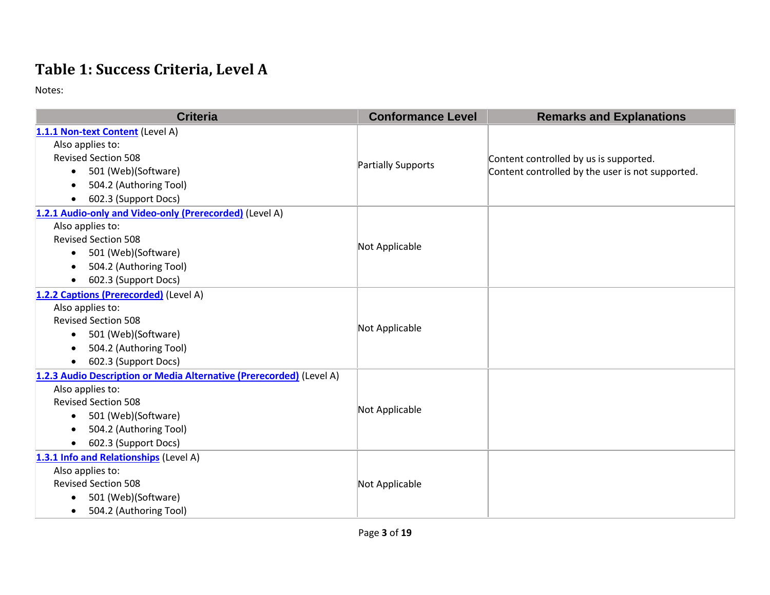## **Table 1: Success Criteria, Level A**

| <b>Criteria</b>                                                      | <b>Conformance Level</b> | <b>Remarks and Explanations</b>                  |
|----------------------------------------------------------------------|--------------------------|--------------------------------------------------|
| 1.1.1 Non-text Content (Level A)                                     |                          |                                                  |
| Also applies to:                                                     |                          |                                                  |
| <b>Revised Section 508</b>                                           |                          | Content controlled by us is supported.           |
| 501 (Web)(Software)<br>$\bullet$                                     | Partially Supports       | Content controlled by the user is not supported. |
| 504.2 (Authoring Tool)<br>$\bullet$                                  |                          |                                                  |
| 602.3 (Support Docs)<br>$\bullet$                                    |                          |                                                  |
| 1.2.1 Audio-only and Video-only (Prerecorded) (Level A)              |                          |                                                  |
| Also applies to:                                                     |                          |                                                  |
| <b>Revised Section 508</b>                                           |                          |                                                  |
| 501 (Web)(Software)<br>$\bullet$                                     | Not Applicable           |                                                  |
| 504.2 (Authoring Tool)                                               |                          |                                                  |
| 602.3 (Support Docs)<br>$\bullet$                                    |                          |                                                  |
| 1.2.2 Captions (Prerecorded) (Level A)                               |                          |                                                  |
| Also applies to:                                                     | Not Applicable           |                                                  |
| <b>Revised Section 508</b>                                           |                          |                                                  |
| 501 (Web)(Software)<br>$\bullet$                                     |                          |                                                  |
| 504.2 (Authoring Tool)<br>$\bullet$                                  |                          |                                                  |
| 602.3 (Support Docs)<br>$\bullet$                                    |                          |                                                  |
| 1.2.3 Audio Description or Media Alternative (Prerecorded) (Level A) |                          |                                                  |
| Also applies to:                                                     | Not Applicable           |                                                  |
| <b>Revised Section 508</b>                                           |                          |                                                  |
| 501 (Web)(Software)<br>$\bullet$                                     |                          |                                                  |
| 504.2 (Authoring Tool)                                               |                          |                                                  |
| 602.3 (Support Docs)<br>$\bullet$                                    |                          |                                                  |
| 1.3.1 Info and Relationships (Level A)                               |                          |                                                  |
| Also applies to:                                                     | Not Applicable           |                                                  |
| <b>Revised Section 508</b>                                           |                          |                                                  |
| 501 (Web)(Software)                                                  |                          |                                                  |
| 504.2 (Authoring Tool)<br>$\bullet$                                  |                          |                                                  |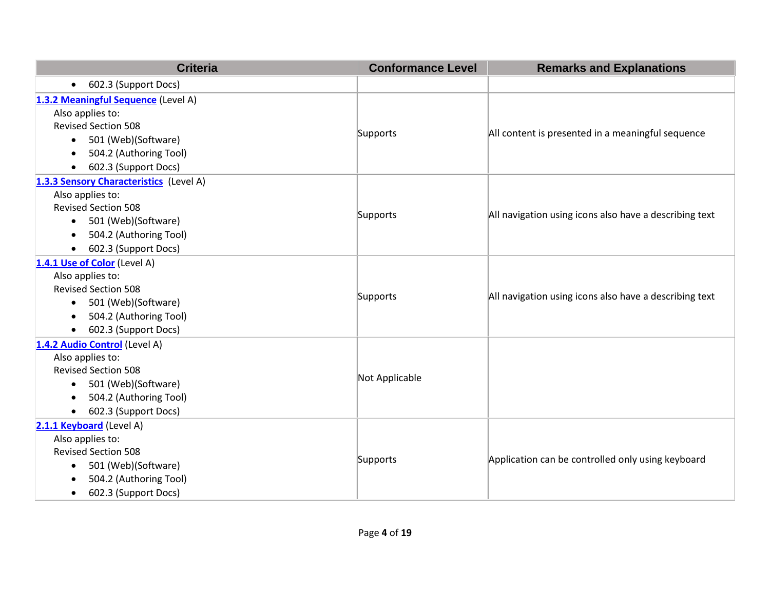| <b>Criteria</b>                                                                                                                                                                              | <b>Conformance Level</b> | <b>Remarks and Explanations</b>                        |
|----------------------------------------------------------------------------------------------------------------------------------------------------------------------------------------------|--------------------------|--------------------------------------------------------|
| 602.3 (Support Docs)<br>$\bullet$                                                                                                                                                            |                          |                                                        |
| 1.3.2 Meaningful Sequence (Level A)<br>Also applies to:<br><b>Revised Section 508</b><br>• 501 (Web)(Software)<br>504.2 (Authoring Tool)<br>602.3 (Support Docs)<br>$\bullet$                | Supports                 | All content is presented in a meaningful sequence      |
| 1.3.3 Sensory Characteristics (Level A)<br>Also applies to:<br><b>Revised Section 508</b><br>501 (Web)(Software)<br>$\bullet$<br>504.2 (Authoring Tool)<br>602.3 (Support Docs)<br>$\bullet$ | Supports                 | All navigation using icons also have a describing text |
| 1.4.1 Use of Color (Level A)<br>Also applies to:<br><b>Revised Section 508</b><br>501 (Web)(Software)<br>$\bullet$<br>504.2 (Authoring Tool)<br>602.3 (Support Docs)                         | Supports                 | All navigation using icons also have a describing text |
| 1.4.2 Audio Control (Level A)<br>Also applies to:<br><b>Revised Section 508</b><br>501 (Web)(Software)<br>$\bullet$<br>504.2 (Authoring Tool)<br>$\bullet$<br>602.3 (Support Docs)           | Not Applicable           |                                                        |
| 2.1.1 Keyboard (Level A)<br>Also applies to:<br><b>Revised Section 508</b><br>501 (Web)(Software)<br>504.2 (Authoring Tool)<br>602.3 (Support Docs)<br>$\bullet$                             | Supports                 | Application can be controlled only using keyboard      |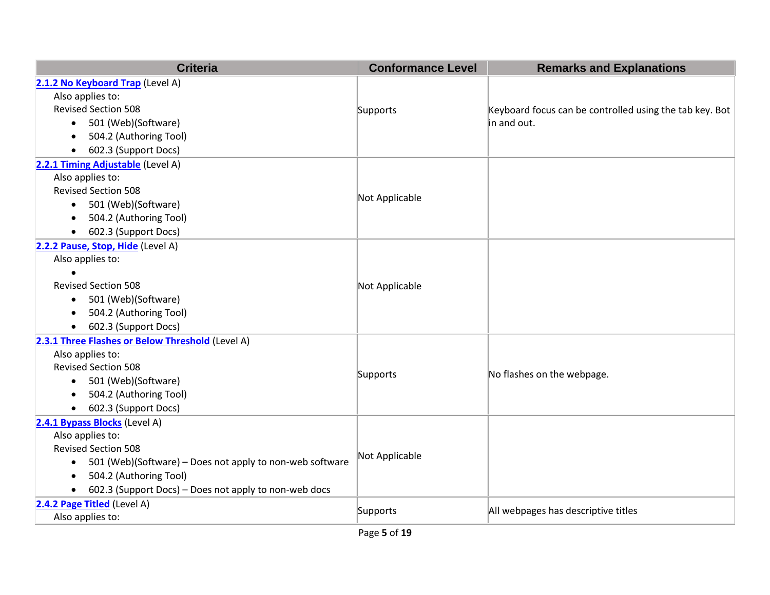| <b>Criteria</b>                                                    | <b>Conformance Level</b> | <b>Remarks and Explanations</b>                         |
|--------------------------------------------------------------------|--------------------------|---------------------------------------------------------|
| 2.1.2 No Keyboard Trap (Level A)                                   |                          |                                                         |
| Also applies to:                                                   |                          |                                                         |
| <b>Revised Section 508</b>                                         | Supports                 | Keyboard focus can be controlled using the tab key. Bot |
| 501 (Web)(Software)<br>$\bullet$                                   |                          | in and out.                                             |
| 504.2 (Authoring Tool)<br>$\bullet$                                |                          |                                                         |
| 602.3 (Support Docs)<br>$\bullet$                                  |                          |                                                         |
| 2.2.1 Timing Adjustable (Level A)                                  |                          |                                                         |
| Also applies to:                                                   |                          |                                                         |
| <b>Revised Section 508</b>                                         | Not Applicable           |                                                         |
| 501 (Web)(Software)<br>$\bullet$                                   |                          |                                                         |
| 504.2 (Authoring Tool)<br>$\bullet$                                |                          |                                                         |
| 602.3 (Support Docs)<br>$\bullet$                                  |                          |                                                         |
| 2.2.2 Pause, Stop, Hide (Level A)                                  |                          |                                                         |
| Also applies to:                                                   |                          |                                                         |
|                                                                    |                          |                                                         |
| <b>Revised Section 508</b>                                         | Not Applicable           |                                                         |
| 501 (Web)(Software)<br>$\bullet$                                   |                          |                                                         |
| 504.2 (Authoring Tool)<br>$\bullet$                                |                          |                                                         |
| 602.3 (Support Docs)<br>$\bullet$                                  |                          |                                                         |
| 2.3.1 Three Flashes or Below Threshold (Level A)                   |                          |                                                         |
| Also applies to:                                                   |                          |                                                         |
| <b>Revised Section 508</b>                                         | Supports                 | No flashes on the webpage.                              |
| 501 (Web)(Software)<br>$\bullet$                                   |                          |                                                         |
| 504.2 (Authoring Tool)<br>$\bullet$                                |                          |                                                         |
| 602.3 (Support Docs)<br>$\bullet$                                  |                          |                                                         |
| 2.4.1 Bypass Blocks (Level A)                                      |                          |                                                         |
| Also applies to:                                                   |                          |                                                         |
| <b>Revised Section 508</b>                                         | Not Applicable           |                                                         |
| 501 (Web)(Software) - Does not apply to non-web software<br>٠      |                          |                                                         |
| 504.2 (Authoring Tool)<br>$\bullet$                                |                          |                                                         |
| 602.3 (Support Docs) - Does not apply to non-web docs<br>$\bullet$ |                          |                                                         |
| 2.4.2 Page Titled (Level A)                                        | Supports                 | All webpages has descriptive titles                     |
| Also applies to:                                                   |                          |                                                         |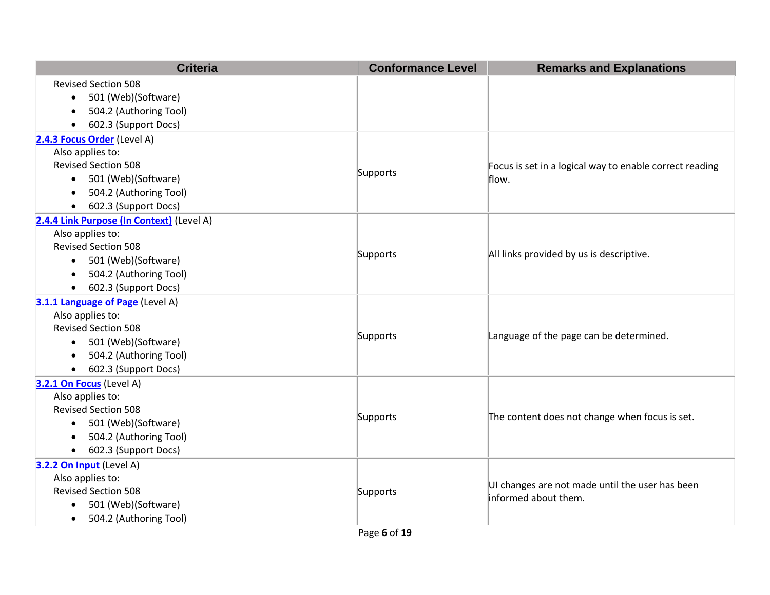| <b>Criteria</b>                           | <b>Conformance Level</b> | <b>Remarks and Explanations</b>                         |
|-------------------------------------------|--------------------------|---------------------------------------------------------|
| <b>Revised Section 508</b>                |                          |                                                         |
| 501 (Web)(Software)<br>$\bullet$          |                          |                                                         |
| 504.2 (Authoring Tool)<br>$\bullet$       |                          |                                                         |
| 602.3 (Support Docs)<br>$\bullet$         |                          |                                                         |
| 2.4.3 Focus Order (Level A)               |                          |                                                         |
| Also applies to:                          |                          |                                                         |
| <b>Revised Section 508</b>                | Supports                 | Focus is set in a logical way to enable correct reading |
| 501 (Web)(Software)<br>$\bullet$          |                          | flow.                                                   |
| 504.2 (Authoring Tool)<br>$\bullet$       |                          |                                                         |
| 602.3 (Support Docs)<br>$\bullet$         |                          |                                                         |
| 2.4.4 Link Purpose (In Context) (Level A) |                          |                                                         |
| Also applies to:                          |                          |                                                         |
| <b>Revised Section 508</b>                | Supports                 | All links provided by us is descriptive.                |
| 501 (Web)(Software)<br>$\bullet$          |                          |                                                         |
| 504.2 (Authoring Tool)<br>$\bullet$       |                          |                                                         |
| 602.3 (Support Docs)<br>$\bullet$         |                          |                                                         |
| 3.1.1 Language of Page (Level A)          |                          |                                                         |
| Also applies to:                          |                          |                                                         |
| <b>Revised Section 508</b>                | Supports                 | Language of the page can be determined.                 |
| 501 (Web)(Software)<br>$\bullet$          |                          |                                                         |
| 504.2 (Authoring Tool)<br>$\bullet$       |                          |                                                         |
| 602.3 (Support Docs)<br>$\bullet$         |                          |                                                         |
| 3.2.1 On Focus (Level A)                  |                          |                                                         |
| Also applies to:                          |                          |                                                         |
| <b>Revised Section 508</b>                | Supports                 | The content does not change when focus is set.          |
| 501 (Web)(Software)<br>$\bullet$          |                          |                                                         |
| 504.2 (Authoring Tool)<br>$\bullet$       |                          |                                                         |
| 602.3 (Support Docs)<br>$\bullet$         |                          |                                                         |
| 3.2.2 On Input (Level A)                  |                          |                                                         |
| Also applies to:                          |                          | UI changes are not made until the user has been         |
| <b>Revised Section 508</b>                | Supports                 | informed about them.                                    |
| 501 (Web)(Software)<br>$\bullet$          |                          |                                                         |
| 504.2 (Authoring Tool)                    |                          |                                                         |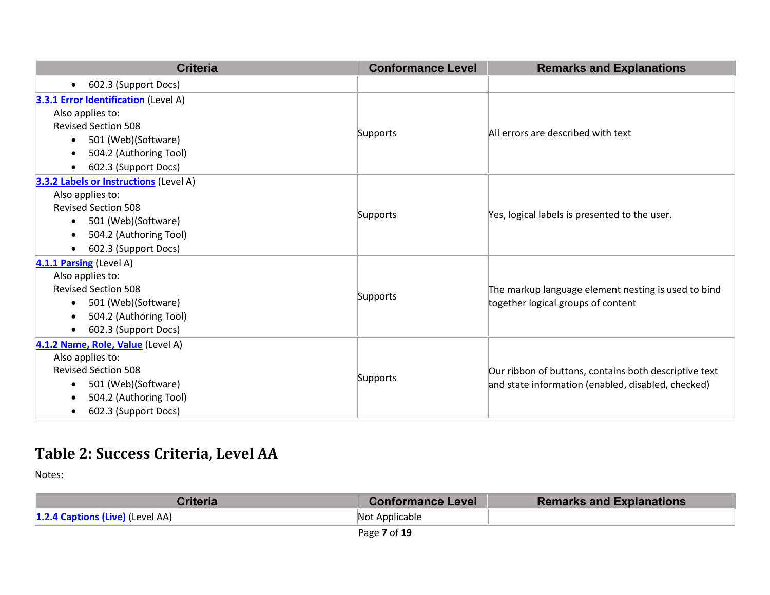| <b>Criteria</b>                               | <b>Conformance Level</b> | <b>Remarks and Explanations</b>                                                                             |
|-----------------------------------------------|--------------------------|-------------------------------------------------------------------------------------------------------------|
| 602.3 (Support Docs)<br>$\bullet$             |                          |                                                                                                             |
| <b>3.3.1 Error Identification</b> (Level A)   |                          |                                                                                                             |
| Also applies to:                              |                          |                                                                                                             |
| <b>Revised Section 508</b>                    |                          | All errors are described with text                                                                          |
| 501 (Web)(Software)<br>$\bullet$              | Supports                 |                                                                                                             |
| 504.2 (Authoring Tool)<br>$\bullet$           |                          |                                                                                                             |
| 602.3 (Support Docs)<br>$\bullet$             |                          |                                                                                                             |
| <b>3.3.2 Labels or Instructions (Level A)</b> |                          |                                                                                                             |
| Also applies to:                              |                          |                                                                                                             |
| <b>Revised Section 508</b>                    | Supports                 | Yes, logical labels is presented to the user.                                                               |
| 501 (Web)(Software)<br>$\bullet$              |                          |                                                                                                             |
| 504.2 (Authoring Tool)<br>$\bullet$           |                          |                                                                                                             |
| 602.3 (Support Docs)<br>$\bullet$             |                          |                                                                                                             |
| 4.1.1 Parsing (Level A)                       |                          |                                                                                                             |
| Also applies to:                              |                          |                                                                                                             |
| <b>Revised Section 508</b>                    | Supports                 | The markup language element nesting is used to bind                                                         |
| 501 (Web)(Software)<br>$\bullet$              |                          | together logical groups of content                                                                          |
| 504.2 (Authoring Tool)<br>$\bullet$           |                          |                                                                                                             |
| 602.3 (Support Docs)<br>$\bullet$             |                          |                                                                                                             |
| 4.1.2 Name, Role, Value (Level A)             |                          |                                                                                                             |
| Also applies to:                              |                          |                                                                                                             |
| <b>Revised Section 508</b>                    |                          | Our ribbon of buttons, contains both descriptive text<br>and state information (enabled, disabled, checked) |
| 501 (Web)(Software)<br>$\bullet$              | Supports                 |                                                                                                             |
| 504.2 (Authoring Tool)<br>$\bullet$           |                          |                                                                                                             |
| 602.3 (Support Docs)<br>$\bullet$             |                          |                                                                                                             |

## **Table 2: Success Criteria, Level AA**

| Criteria                         | <b>Conformance Level</b> | <b>Remarks and Explanations</b> |
|----------------------------------|--------------------------|---------------------------------|
| 1.2.4 Captions (Live) (Level AA) | Not Applicable           |                                 |
|                                  | $D = 227$                |                                 |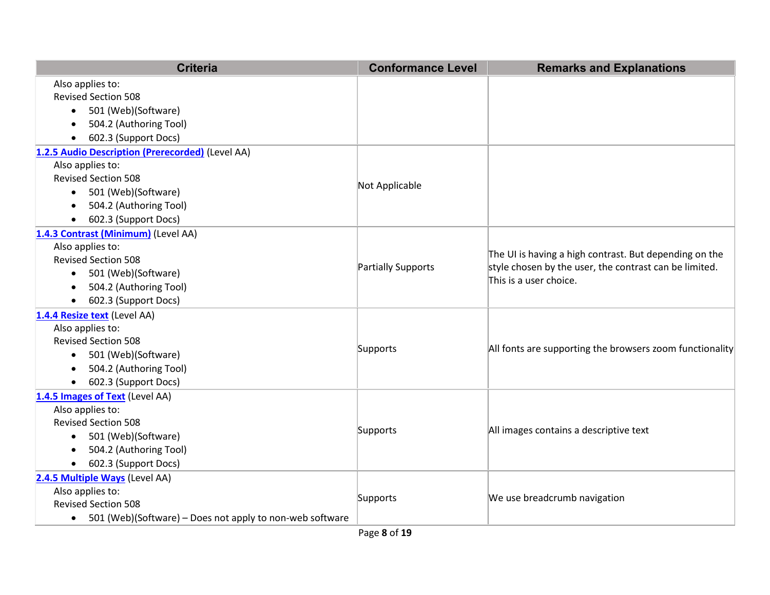| <b>Criteria</b>                                                       | <b>Conformance Level</b> | <b>Remarks and Explanations</b>                                                  |
|-----------------------------------------------------------------------|--------------------------|----------------------------------------------------------------------------------|
| Also applies to:                                                      |                          |                                                                                  |
| <b>Revised Section 508</b>                                            |                          |                                                                                  |
| 501 (Web)(Software)<br>$\bullet$                                      |                          |                                                                                  |
| 504.2 (Authoring Tool)                                                |                          |                                                                                  |
| 602.3 (Support Docs)<br>$\bullet$                                     |                          |                                                                                  |
| 1.2.5 Audio Description (Prerecorded) (Level AA)                      |                          |                                                                                  |
| Also applies to:                                                      |                          |                                                                                  |
| <b>Revised Section 508</b>                                            | Not Applicable           |                                                                                  |
| 501 (Web)(Software)<br>$\bullet$                                      |                          |                                                                                  |
| 504.2 (Authoring Tool)                                                |                          |                                                                                  |
| 602.3 (Support Docs)                                                  |                          |                                                                                  |
| 1.4.3 Contrast (Minimum) (Level AA)                                   |                          |                                                                                  |
| Also applies to:                                                      |                          | The UI is having a high contrast. But depending on the                           |
| <b>Revised Section 508</b>                                            | Partially Supports       | style chosen by the user, the contrast can be limited.<br>This is a user choice. |
| 501 (Web)(Software)<br>$\bullet$                                      |                          |                                                                                  |
| 504.2 (Authoring Tool)                                                |                          |                                                                                  |
| 602.3 (Support Docs)<br>$\bullet$                                     |                          |                                                                                  |
| 1.4.4 Resize text (Level AA)                                          |                          |                                                                                  |
| Also applies to:                                                      |                          |                                                                                  |
| <b>Revised Section 508</b>                                            | Supports                 | All fonts are supporting the browsers zoom functionality                         |
| 501 (Web)(Software)<br>$\bullet$                                      |                          |                                                                                  |
| 504.2 (Authoring Tool)                                                |                          |                                                                                  |
| 602.3 (Support Docs)<br>$\bullet$                                     |                          |                                                                                  |
| 1.4.5 Images of Text (Level AA)                                       |                          |                                                                                  |
| Also applies to:                                                      |                          |                                                                                  |
| <b>Revised Section 508</b>                                            | Supports                 | All images contains a descriptive text                                           |
| 501 (Web)(Software)<br>$\bullet$                                      |                          |                                                                                  |
| 504.2 (Authoring Tool)<br>$\bullet$                                   |                          |                                                                                  |
| 602.3 (Support Docs)<br>$\bullet$                                     |                          |                                                                                  |
| 2.4.5 Multiple Ways (Level AA)                                        |                          |                                                                                  |
| Also applies to:                                                      | Supports                 | We use breadcrumb navigation                                                     |
| <b>Revised Section 508</b>                                            |                          |                                                                                  |
| 501 (Web)(Software) – Does not apply to non-web software<br>$\bullet$ |                          |                                                                                  |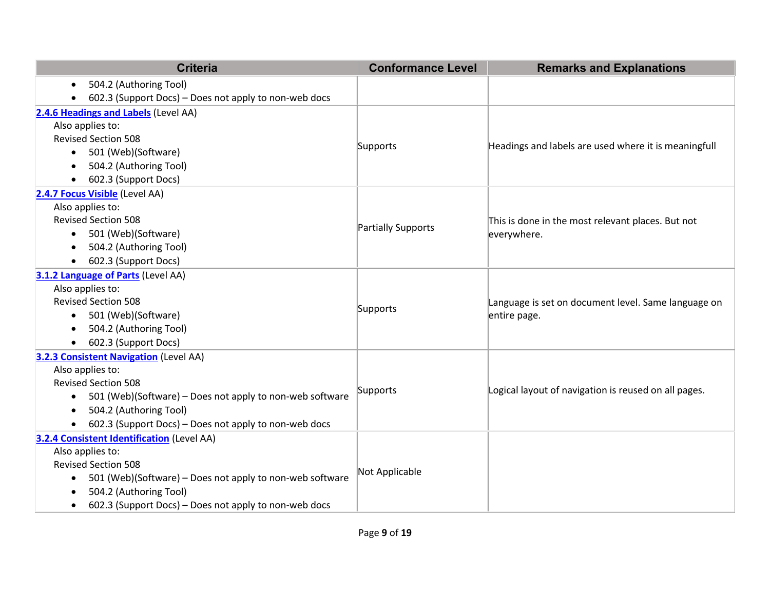| <b>Criteria</b>                                                       | <b>Conformance Level</b> | <b>Remarks and Explanations</b>                      |
|-----------------------------------------------------------------------|--------------------------|------------------------------------------------------|
| 504.2 (Authoring Tool)<br>$\bullet$                                   |                          |                                                      |
| 602.3 (Support Docs) – Does not apply to non-web docs                 |                          |                                                      |
| 2.4.6 Headings and Labels (Level AA)                                  |                          |                                                      |
| Also applies to:                                                      |                          |                                                      |
| <b>Revised Section 508</b>                                            | Supports                 | Headings and labels are used where it is meaningfull |
| • 501 (Web)(Software)                                                 |                          |                                                      |
| 504.2 (Authoring Tool)<br>$\bullet$                                   |                          |                                                      |
| 602.3 (Support Docs)<br>$\bullet$                                     |                          |                                                      |
| 2.4.7 Focus Visible (Level AA)                                        |                          |                                                      |
| Also applies to:                                                      |                          |                                                      |
| <b>Revised Section 508</b>                                            | Partially Supports       | This is done in the most relevant places. But not    |
| 501 (Web)(Software)                                                   |                          | everywhere.                                          |
| 504.2 (Authoring Tool)<br>$\bullet$                                   |                          |                                                      |
| 602.3 (Support Docs)<br>$\bullet$                                     |                          |                                                      |
| 3.1.2 Language of Parts (Level AA)                                    |                          |                                                      |
| Also applies to:                                                      |                          |                                                      |
| <b>Revised Section 508</b>                                            | Supports                 | Language is set on document level. Same language on  |
| 501 (Web)(Software)<br>$\bullet$                                      |                          | entire page.                                         |
| 504.2 (Authoring Tool)                                                |                          |                                                      |
| 602.3 (Support Docs)                                                  |                          |                                                      |
| <b>3.2.3 Consistent Navigation</b> (Level AA)                         |                          |                                                      |
| Also applies to:                                                      |                          |                                                      |
| <b>Revised Section 508</b>                                            | Supports                 | Logical layout of navigation is reused on all pages. |
| 501 (Web)(Software) - Does not apply to non-web software<br>$\bullet$ |                          |                                                      |
| 504.2 (Authoring Tool)<br>$\bullet$                                   |                          |                                                      |
| 602.3 (Support Docs) - Does not apply to non-web docs<br>$\bullet$    |                          |                                                      |
| <b>3.2.4 Consistent Identification (Level AA)</b>                     |                          |                                                      |
| Also applies to:                                                      | Not Applicable           |                                                      |
| <b>Revised Section 508</b>                                            |                          |                                                      |
| 501 (Web)(Software) - Does not apply to non-web software<br>$\bullet$ |                          |                                                      |
| 504.2 (Authoring Tool)<br>$\bullet$                                   |                          |                                                      |
| 602.3 (Support Docs) – Does not apply to non-web docs<br>$\bullet$    |                          |                                                      |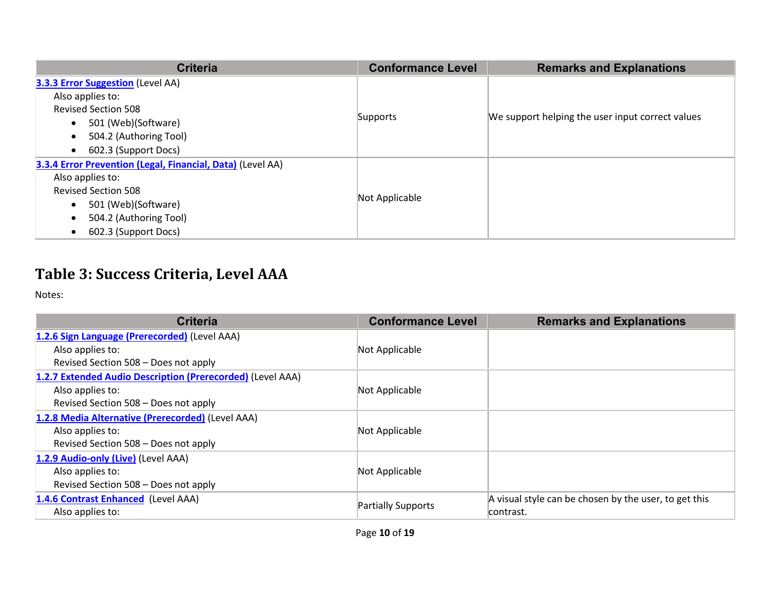| <b>Criteria</b>                                            | <b>Conformance Level</b> | <b>Remarks and Explanations</b>                  |
|------------------------------------------------------------|--------------------------|--------------------------------------------------|
| <b>3.3.3 Error Suggestion</b> (Level AA)                   |                          |                                                  |
| Also applies to:                                           |                          |                                                  |
| <b>Revised Section 508</b>                                 |                          |                                                  |
| 501 (Web)(Software)<br>$\bullet$                           | Supports                 | We support helping the user input correct values |
| 504.2 (Authoring Tool)<br>$\bullet$                        |                          |                                                  |
| 602.3 (Support Docs)<br>$\bullet$                          |                          |                                                  |
| 3.3.4 Error Prevention (Legal, Financial, Data) (Level AA) |                          |                                                  |
| Also applies to:                                           |                          |                                                  |
| <b>Revised Section 508</b>                                 | Not Applicable           |                                                  |
| 501 (Web)(Software)<br>$\bullet$                           |                          |                                                  |
| 504.2 (Authoring Tool)<br>$\bullet$                        |                          |                                                  |
| 602.3 (Support Docs)<br>$\bullet$                          |                          |                                                  |

## **Table 3: Success Criteria, Level AAA**

| <b>Criteria</b>                                            | <b>Conformance Level</b> | <b>Remarks and Explanations</b>                       |
|------------------------------------------------------------|--------------------------|-------------------------------------------------------|
| 1.2.6 Sign Language (Prerecorded) (Level AAA)              |                          |                                                       |
| Also applies to:                                           | Not Applicable           |                                                       |
| Revised Section 508 - Does not apply                       |                          |                                                       |
| 1.2.7 Extended Audio Description (Prerecorded) (Level AAA) |                          |                                                       |
| Also applies to:                                           | Not Applicable           |                                                       |
| Revised Section 508 - Does not apply                       |                          |                                                       |
| 1.2.8 Media Alternative (Prerecorded) (Level AAA)          |                          |                                                       |
| Also applies to:                                           | Not Applicable           |                                                       |
| Revised Section 508 - Does not apply                       |                          |                                                       |
| 1.2.9 Audio-only (Live) (Level AAA)                        |                          |                                                       |
| Also applies to:                                           | Not Applicable           |                                                       |
| Revised Section 508 - Does not apply                       |                          |                                                       |
| 1.4.6 Contrast Enhanced (Level AAA)                        |                          | A visual style can be chosen by the user, to get this |
| Also applies to:                                           | Partially Supports       | contrast.                                             |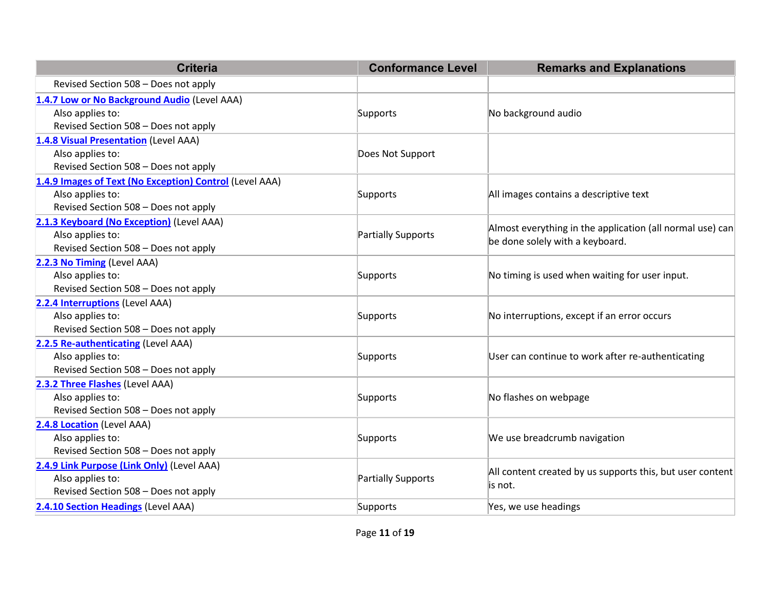| <b>Criteria</b>                                         | <b>Conformance Level</b> | <b>Remarks and Explanations</b>                                                              |  |
|---------------------------------------------------------|--------------------------|----------------------------------------------------------------------------------------------|--|
| Revised Section 508 - Does not apply                    |                          |                                                                                              |  |
| 1.4.7 Low or No Background Audio (Level AAA)            |                          |                                                                                              |  |
| Also applies to:                                        | Supports                 | No background audio                                                                          |  |
| Revised Section 508 - Does not apply                    |                          |                                                                                              |  |
| 1.4.8 Visual Presentation (Level AAA)                   |                          |                                                                                              |  |
| Also applies to:                                        | Does Not Support         |                                                                                              |  |
| Revised Section 508 - Does not apply                    |                          |                                                                                              |  |
| 1.4.9 Images of Text (No Exception) Control (Level AAA) |                          |                                                                                              |  |
| Also applies to:                                        | Supports                 | All images contains a descriptive text                                                       |  |
| Revised Section 508 - Does not apply                    |                          |                                                                                              |  |
| 2.1.3 Keyboard (No Exception) (Level AAA)               |                          |                                                                                              |  |
| Also applies to:                                        | Partially Supports       | Almost everything in the application (all normal use) can<br>be done solely with a keyboard. |  |
| Revised Section 508 - Does not apply                    |                          |                                                                                              |  |
| 2.2.3 No Timing (Level AAA)                             |                          |                                                                                              |  |
| Also applies to:                                        | Supports                 | No timing is used when waiting for user input.                                               |  |
| Revised Section 508 - Does not apply                    |                          |                                                                                              |  |
| 2.2.4 Interruptions (Level AAA)                         |                          |                                                                                              |  |
| Also applies to:                                        | Supports                 | No interruptions, except if an error occurs                                                  |  |
| Revised Section 508 - Does not apply                    |                          |                                                                                              |  |
| 2.2.5 Re-authenticating (Level AAA)                     |                          |                                                                                              |  |
| Also applies to:                                        | Supports                 | User can continue to work after re-authenticating                                            |  |
| Revised Section 508 - Does not apply                    |                          |                                                                                              |  |
| 2.3.2 Three Flashes (Level AAA)                         |                          |                                                                                              |  |
| Also applies to:                                        | Supports                 | No flashes on webpage                                                                        |  |
| Revised Section 508 - Does not apply                    |                          |                                                                                              |  |
| 2.4.8 Location (Level AAA)                              |                          |                                                                                              |  |
| Also applies to:                                        | Supports                 | We use breadcrumb navigation                                                                 |  |
| Revised Section 508 - Does not apply                    |                          |                                                                                              |  |
| 2.4.9 Link Purpose (Link Only) (Level AAA)              |                          | All content created by us supports this, but user content                                    |  |
| Also applies to:                                        | Partially Supports       |                                                                                              |  |
| Revised Section 508 - Does not apply                    |                          | is not.                                                                                      |  |
| 2.4.10 Section Headings (Level AAA)                     | Supports                 | Yes, we use headings                                                                         |  |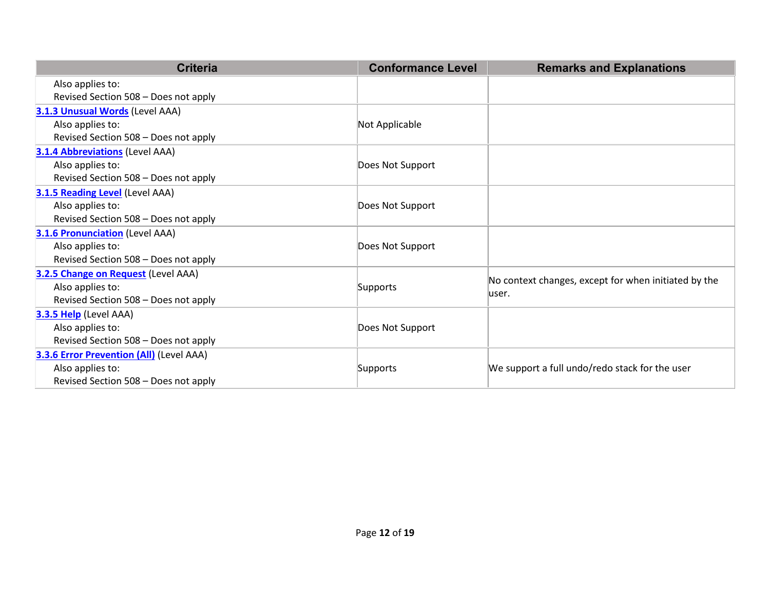| <b>Criteria</b>                                 | <b>Conformance Level</b> | <b>Remarks and Explanations</b>                      |
|-------------------------------------------------|--------------------------|------------------------------------------------------|
| Also applies to:                                |                          |                                                      |
| Revised Section 508 - Does not apply            |                          |                                                      |
| <b>3.1.3 Unusual Words (Level AAA)</b>          |                          |                                                      |
| Also applies to:                                | Not Applicable           |                                                      |
| Revised Section 508 - Does not apply            |                          |                                                      |
| <b>3.1.4 Abbreviations (Level AAA)</b>          |                          |                                                      |
| Also applies to:                                | Does Not Support         |                                                      |
| Revised Section 508 - Does not apply            |                          |                                                      |
| <b>3.1.5 Reading Level (Level AAA)</b>          |                          |                                                      |
| Also applies to:                                | Does Not Support         |                                                      |
| Revised Section 508 - Does not apply            |                          |                                                      |
| <b>3.1.6 Pronunciation</b> (Level AAA)          |                          |                                                      |
| Also applies to:                                | Does Not Support         |                                                      |
| Revised Section 508 - Does not apply            |                          |                                                      |
| 3.2.5 Change on Request (Level AAA)             |                          | No context changes, except for when initiated by the |
| Also applies to:                                | Supports                 | luser.                                               |
| Revised Section 508 - Does not apply            |                          |                                                      |
| 3.3.5 Help (Level AAA)                          |                          |                                                      |
| Also applies to:                                | Does Not Support         |                                                      |
| Revised Section 508 - Does not apply            |                          |                                                      |
| <b>3.3.6 Error Prevention (All)</b> (Level AAA) |                          |                                                      |
| Also applies to:                                | Supports                 | We support a full undo/redo stack for the user       |
| Revised Section 508 - Does not apply            |                          |                                                      |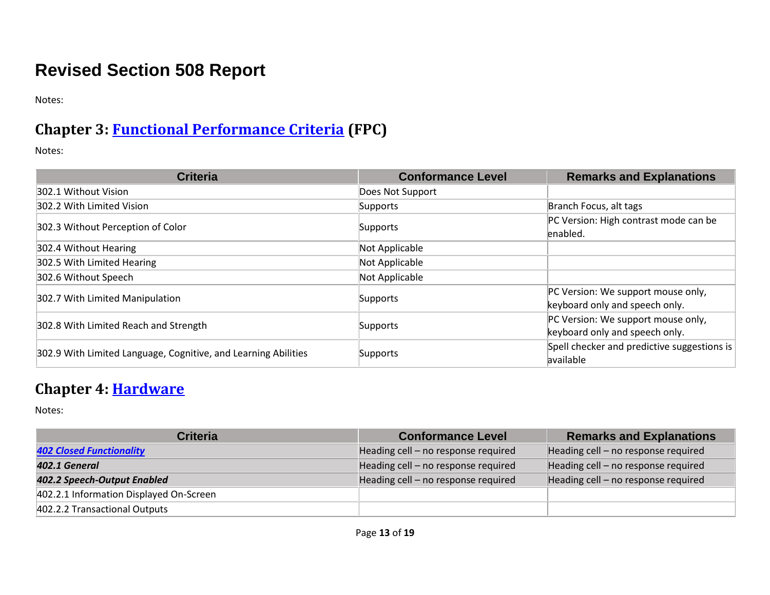# **Revised Section 508 Report**

Notes:

#### **Chapter 3: [Functional Performance Criteria](https://www.access-board.gov/guidelines-and-standards/communications-and-it/about-the-ict-refresh/final-rule/text-of-the-standards-and-guidelines#302-functional-performance-criteria) (FPC)**

Notes:

| <b>Criteria</b>                                                | <b>Conformance Level</b> | <b>Remarks and Explanations</b>             |
|----------------------------------------------------------------|--------------------------|---------------------------------------------|
| 302.1 Without Vision                                           | Does Not Support         |                                             |
| 302.2 With Limited Vision                                      | Supports                 | Branch Focus, alt tags                      |
| 302.3 Without Perception of Color                              | Supports                 | PC Version: High contrast mode can be       |
|                                                                |                          | enabled.                                    |
| 302.4 Without Hearing                                          | Not Applicable           |                                             |
| 302.5 With Limited Hearing                                     | Not Applicable           |                                             |
| 302.6 Without Speech                                           | Not Applicable           |                                             |
| 302.7 With Limited Manipulation                                | Supports                 | PC Version: We support mouse only,          |
|                                                                |                          | keyboard only and speech only.              |
| 302.8 With Limited Reach and Strength<br>Supports              |                          | PC Version: We support mouse only,          |
|                                                                |                          | keyboard only and speech only.              |
| 302.9 With Limited Language, Cognitive, and Learning Abilities | Supports                 | Spell checker and predictive suggestions is |
|                                                                |                          | available                                   |

#### **Chapter 4: [Hardware](https://www.access-board.gov/guidelines-and-standards/communications-and-it/about-the-ict-refresh/final-rule/text-of-the-standards-and-guidelines#401-general)**

| <b>Criteria</b>                         | <b>Conformance Level</b>            | <b>Remarks and Explanations</b>     |
|-----------------------------------------|-------------------------------------|-------------------------------------|
| <b>402 Closed Functionality</b>         | Heading cell - no response required | Heading cell - no response required |
| 402.1 General                           | Heading cell - no response required | Heading cell - no response required |
| 402.2 Speech-Output Enabled             | Heading cell - no response required | Heading cell - no response required |
| 402.2.1 Information Displayed On-Screen |                                     |                                     |
| 402.2.2 Transactional Outputs           |                                     |                                     |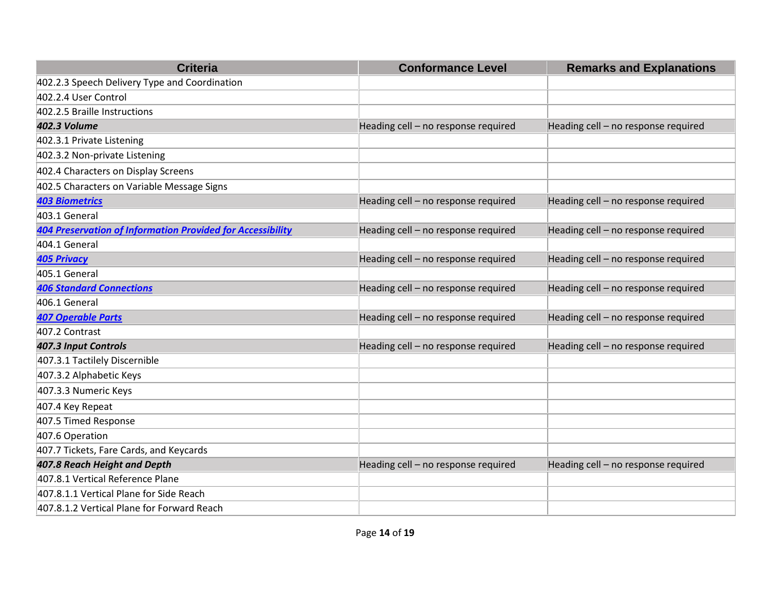| <b>Criteria</b>                                                   | <b>Conformance Level</b>            | <b>Remarks and Explanations</b>     |
|-------------------------------------------------------------------|-------------------------------------|-------------------------------------|
| 402.2.3 Speech Delivery Type and Coordination                     |                                     |                                     |
| 402.2.4 User Control                                              |                                     |                                     |
| 402.2.5 Braille Instructions                                      |                                     |                                     |
| <b>402.3 Volume</b>                                               | Heading cell - no response required | Heading cell - no response required |
| 402.3.1 Private Listening                                         |                                     |                                     |
| 402.3.2 Non-private Listening                                     |                                     |                                     |
| 402.4 Characters on Display Screens                               |                                     |                                     |
| 402.5 Characters on Variable Message Signs                        |                                     |                                     |
| <b>403 Biometrics</b>                                             | Heading cell - no response required | Heading cell - no response required |
| 403.1 General                                                     |                                     |                                     |
| <b>404 Preservation of Information Provided for Accessibility</b> | Heading cell - no response required | Heading cell - no response required |
| 404.1 General                                                     |                                     |                                     |
| <b>405 Privacy</b>                                                | Heading cell - no response required | Heading cell - no response required |
| 405.1 General                                                     |                                     |                                     |
| <b>406 Standard Connections</b>                                   | Heading cell - no response required | Heading cell - no response required |
| 406.1 General                                                     |                                     |                                     |
| <b>407 Operable Parts</b>                                         | Heading cell - no response required | Heading cell - no response required |
| 407.2 Contrast                                                    |                                     |                                     |
| 407.3 Input Controls                                              | Heading cell - no response required | Heading cell - no response required |
| 407.3.1 Tactilely Discernible                                     |                                     |                                     |
| 407.3.2 Alphabetic Keys                                           |                                     |                                     |
| 407.3.3 Numeric Keys                                              |                                     |                                     |
| 407.4 Key Repeat                                                  |                                     |                                     |
| 407.5 Timed Response                                              |                                     |                                     |
| 407.6 Operation                                                   |                                     |                                     |
| 407.7 Tickets, Fare Cards, and Keycards                           |                                     |                                     |
| 407.8 Reach Height and Depth                                      | Heading cell - no response required | Heading cell - no response required |
| 407.8.1 Vertical Reference Plane                                  |                                     |                                     |
| 407.8.1.1 Vertical Plane for Side Reach                           |                                     |                                     |
| 407.8.1.2 Vertical Plane for Forward Reach                        |                                     |                                     |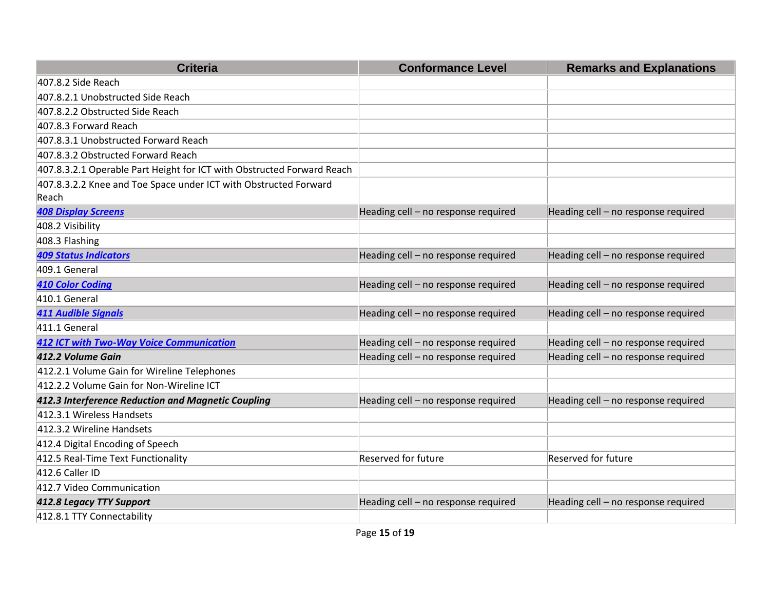| <b>Criteria</b>                                                        | <b>Conformance Level</b>            | <b>Remarks and Explanations</b>     |
|------------------------------------------------------------------------|-------------------------------------|-------------------------------------|
| 407.8.2 Side Reach                                                     |                                     |                                     |
| 407.8.2.1 Unobstructed Side Reach                                      |                                     |                                     |
| 407.8.2.2 Obstructed Side Reach                                        |                                     |                                     |
| 407.8.3 Forward Reach                                                  |                                     |                                     |
| 407.8.3.1 Unobstructed Forward Reach                                   |                                     |                                     |
| 407.8.3.2 Obstructed Forward Reach                                     |                                     |                                     |
| 407.8.3.2.1 Operable Part Height for ICT with Obstructed Forward Reach |                                     |                                     |
| 407.8.3.2.2 Knee and Toe Space under ICT with Obstructed Forward       |                                     |                                     |
| Reach                                                                  |                                     |                                     |
| <b>408 Display Screens</b>                                             | Heading cell - no response required | Heading cell - no response required |
| 408.2 Visibility                                                       |                                     |                                     |
| 408.3 Flashing                                                         |                                     |                                     |
| <b>409 Status Indicators</b>                                           | Heading cell - no response required | Heading cell - no response required |
| 409.1 General                                                          |                                     |                                     |
| <b>410 Color Coding</b>                                                | Heading cell - no response required | Heading cell - no response required |
| 410.1 General                                                          |                                     |                                     |
| <b>411 Audible Signals</b>                                             | Heading cell - no response required | Heading cell - no response required |
| 411.1 General                                                          |                                     |                                     |
| <b>412 ICT with Two-Way Voice Communication</b>                        | Heading cell - no response required | Heading cell - no response required |
| 412.2 Volume Gain                                                      | Heading cell - no response required | Heading cell - no response required |
| 412.2.1 Volume Gain for Wireline Telephones                            |                                     |                                     |
| 412.2.2 Volume Gain for Non-Wireline ICT                               |                                     |                                     |
| 412.3 Interference Reduction and Magnetic Coupling                     | Heading cell - no response required | Heading cell - no response required |
| 412.3.1 Wireless Handsets                                              |                                     |                                     |
| 412.3.2 Wireline Handsets                                              |                                     |                                     |
| 412.4 Digital Encoding of Speech                                       |                                     |                                     |
| 412.5 Real-Time Text Functionality                                     | Reserved for future                 | Reserved for future                 |
| 412.6 Caller ID                                                        |                                     |                                     |
| 412.7 Video Communication                                              |                                     |                                     |
| 412.8 Legacy TTY Support                                               | Heading cell - no response required | Heading cell - no response required |
| 412.8.1 TTY Connectability                                             |                                     |                                     |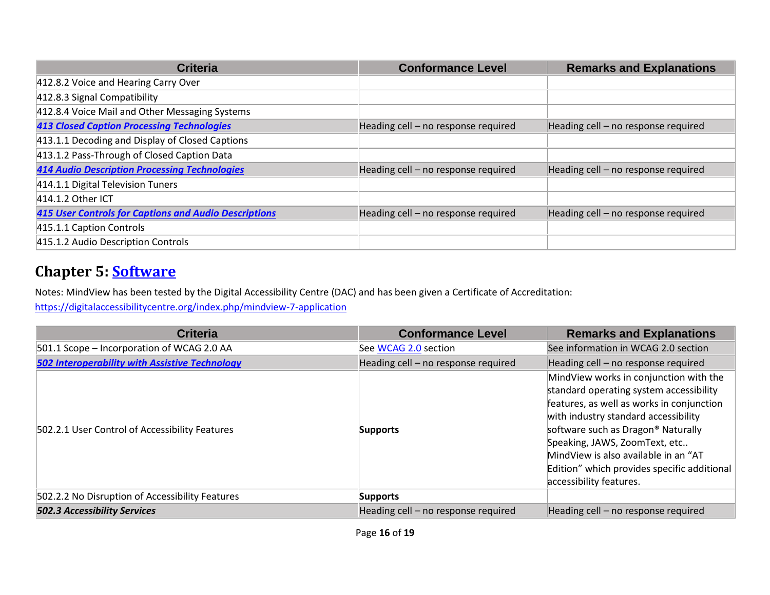| <b>Criteria</b>                                              | <b>Conformance Level</b>            | <b>Remarks and Explanations</b>     |
|--------------------------------------------------------------|-------------------------------------|-------------------------------------|
| 412.8.2 Voice and Hearing Carry Over                         |                                     |                                     |
| 412.8.3 Signal Compatibility                                 |                                     |                                     |
| 412.8.4 Voice Mail and Other Messaging Systems               |                                     |                                     |
| <b>413 Closed Caption Processing Technologies</b>            | Heading cell - no response required | Heading cell - no response required |
| 413.1.1 Decoding and Display of Closed Captions              |                                     |                                     |
| 413.1.2 Pass-Through of Closed Caption Data                  |                                     |                                     |
| <b>414 Audio Description Processing Technologies</b>         | Heading cell - no response required | Heading cell - no response required |
| 414.1.1 Digital Television Tuners                            |                                     |                                     |
| 414.1.2 Other ICT                                            |                                     |                                     |
| <b>415 User Controls for Captions and Audio Descriptions</b> | Heading cell - no response required | Heading cell - no response required |
| 415.1.1 Caption Controls                                     |                                     |                                     |
| 415.1.2 Audio Description Controls                           |                                     |                                     |

#### **Chapter 5: [Software](https://www.access-board.gov/guidelines-and-standards/communications-and-it/about-the-ict-refresh/final-rule/text-of-the-standards-and-guidelines#501-general)**

Notes: MindView has been tested by the Digital Accessibility Centre (DAC) and has been given a Certificate of Accreditation:

<https://digitalaccessibilitycentre.org/index.php/mindview-7-application>

| <b>Criteria</b>                                       | <b>Conformance Level</b>            | <b>Remarks and Explanations</b>                                                                                                                                                                                                                                                                                                                                             |
|-------------------------------------------------------|-------------------------------------|-----------------------------------------------------------------------------------------------------------------------------------------------------------------------------------------------------------------------------------------------------------------------------------------------------------------------------------------------------------------------------|
| 501.1 Scope – Incorporation of WCAG 2.0 AA            | See WCAG 2.0 section                | See information in WCAG 2.0 section                                                                                                                                                                                                                                                                                                                                         |
| <b>502 Interoperability with Assistive Technology</b> | Heading cell - no response required | Heading cell - no response required                                                                                                                                                                                                                                                                                                                                         |
| 502.2.1 User Control of Accessibility Features        | Supports                            | MindView works in conjunction with the<br>standard operating system accessibility<br>features, as well as works in conjunction<br>with industry standard accessibility<br>software such as Dragon <sup>®</sup> Naturally<br>Speaking, JAWS, ZoomText, etc<br>MindView is also available in an "AT<br>Edition" which provides specific additional<br>accessibility features. |
| 502.2.2 No Disruption of Accessibility Features       | <b>Supports</b>                     |                                                                                                                                                                                                                                                                                                                                                                             |
| <b>502.3 Accessibility Services</b>                   | Heading cell - no response required | Heading cell - no response required                                                                                                                                                                                                                                                                                                                                         |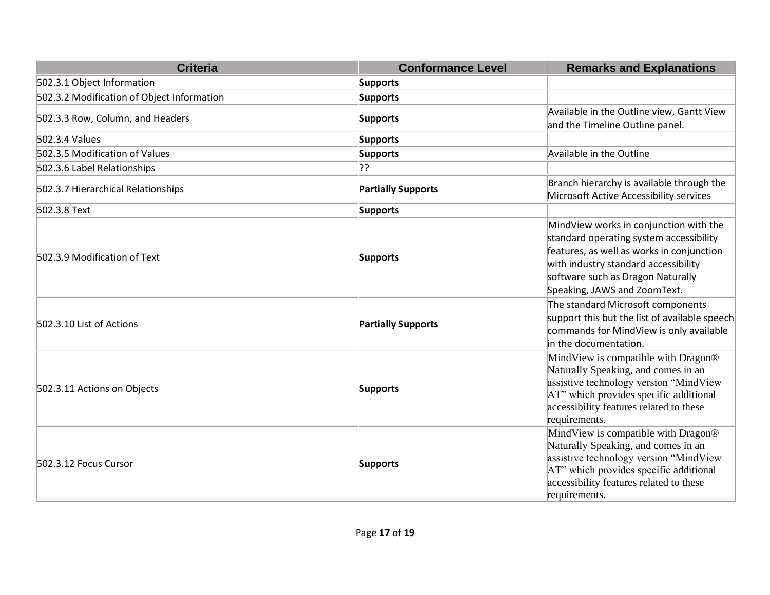| <b>Criteria</b>                            | <b>Conformance Level</b>  | <b>Remarks and Explanations</b>                                                                                                                                                                                                             |
|--------------------------------------------|---------------------------|---------------------------------------------------------------------------------------------------------------------------------------------------------------------------------------------------------------------------------------------|
| 502.3.1 Object Information                 | <b>Supports</b>           |                                                                                                                                                                                                                                             |
| 502.3.2 Modification of Object Information | <b>Supports</b>           |                                                                                                                                                                                                                                             |
| 502.3.3 Row, Column, and Headers           | <b>Supports</b>           | Available in the Outline view, Gantt View<br>and the Timeline Outline panel.                                                                                                                                                                |
| 502.3.4 Values                             | <b>Supports</b>           |                                                                                                                                                                                                                                             |
| 502.3.5 Modification of Values             | <b>Supports</b>           | Available in the Outline                                                                                                                                                                                                                    |
| 502.3.6 Label Relationships                | י??                       |                                                                                                                                                                                                                                             |
| 502.3.7 Hierarchical Relationships         | <b>Partially Supports</b> | Branch hierarchy is available through the<br>Microsoft Active Accessibility services                                                                                                                                                        |
| 502.3.8 Text                               | <b>Supports</b>           |                                                                                                                                                                                                                                             |
| 502.3.9 Modification of Text               | <b>Supports</b>           | MindView works in conjunction with the<br>standard operating system accessibility<br>features, as well as works in conjunction<br>with industry standard accessibility<br>software such as Dragon Naturally<br>Speaking, JAWS and ZoomText. |
| 502.3.10 List of Actions                   | <b>Partially Supports</b> | The standard Microsoft components<br>support this but the list of available speech<br>commands for MindView is only available<br>in the documentation.                                                                                      |
| 502.3.11 Actions on Objects                | <b>Supports</b>           | MindView is compatible with Dragon®<br>Naturally Speaking, and comes in an<br>assistive technology version "MindView<br>AT" which provides specific additional<br>accessibility features related to these<br>requirements.                  |
| 502.3.12 Focus Cursor                      | <b>Supports</b>           | MindView is compatible with Dragon®<br>Naturally Speaking, and comes in an<br>assistive technology version "MindView<br>AT" which provides specific additional<br>accessibility features related to these<br>requirements.                  |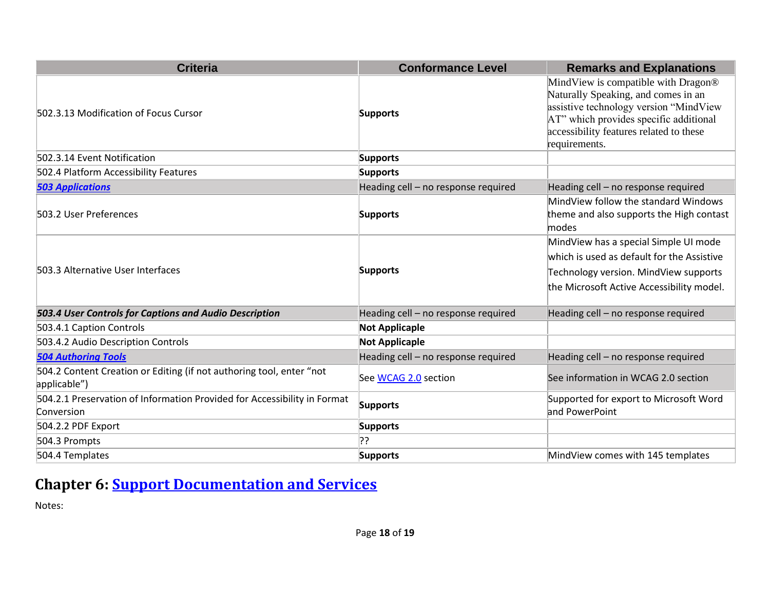| <b>Criteria</b>                                                                        | <b>Conformance Level</b>            | <b>Remarks and Explanations</b>                                                                                                                                                                                            |
|----------------------------------------------------------------------------------------|-------------------------------------|----------------------------------------------------------------------------------------------------------------------------------------------------------------------------------------------------------------------------|
| 502.3.13 Modification of Focus Cursor                                                  | <b>Supports</b>                     | MindView is compatible with Dragon®<br>Naturally Speaking, and comes in an<br>assistive technology version "MindView<br>AT" which provides specific additional<br>accessibility features related to these<br>requirements. |
| 502.3.14 Event Notification                                                            | <b>Supports</b>                     |                                                                                                                                                                                                                            |
| 502.4 Platform Accessibility Features                                                  | <b>Supports</b>                     |                                                                                                                                                                                                                            |
| <b>503 Applications</b>                                                                | Heading cell - no response required | Heading cell - no response required                                                                                                                                                                                        |
| 503.2 User Preferences                                                                 | <b>Supports</b>                     | MindView follow the standard Windows<br>theme and also supports the High contast<br>modes                                                                                                                                  |
| 503.3 Alternative User Interfaces                                                      | <b>Supports</b>                     | MindView has a special Simple UI mode<br>which is used as default for the Assistive<br>Technology version. MindView supports<br>the Microsoft Active Accessibility model.                                                  |
| 503.4 User Controls for Captions and Audio Description                                 | Heading cell - no response required | Heading cell - no response required                                                                                                                                                                                        |
| 503.4.1 Caption Controls                                                               | <b>Not Applicaple</b>               |                                                                                                                                                                                                                            |
| 503.4.2 Audio Description Controls                                                     | <b>Not Applicaple</b>               |                                                                                                                                                                                                                            |
| <b>504 Authoring Tools</b>                                                             | Heading cell - no response required | Heading cell - no response required                                                                                                                                                                                        |
| 504.2 Content Creation or Editing (if not authoring tool, enter "not<br>applicable")   | See WCAG 2.0 section                | See information in WCAG 2.0 section                                                                                                                                                                                        |
| 504.2.1 Preservation of Information Provided for Accessibility in Format<br>Conversion | <b>Supports</b>                     | Supported for export to Microsoft Word<br>and PowerPoint                                                                                                                                                                   |
| 504.2.2 PDF Export                                                                     | <b>Supports</b>                     |                                                                                                                                                                                                                            |
| 504.3 Prompts                                                                          | ??                                  |                                                                                                                                                                                                                            |
| 504.4 Templates                                                                        | <b>Supports</b>                     | MindView comes with 145 templates                                                                                                                                                                                          |

# **Chapter 6: Support Documentation and Services**